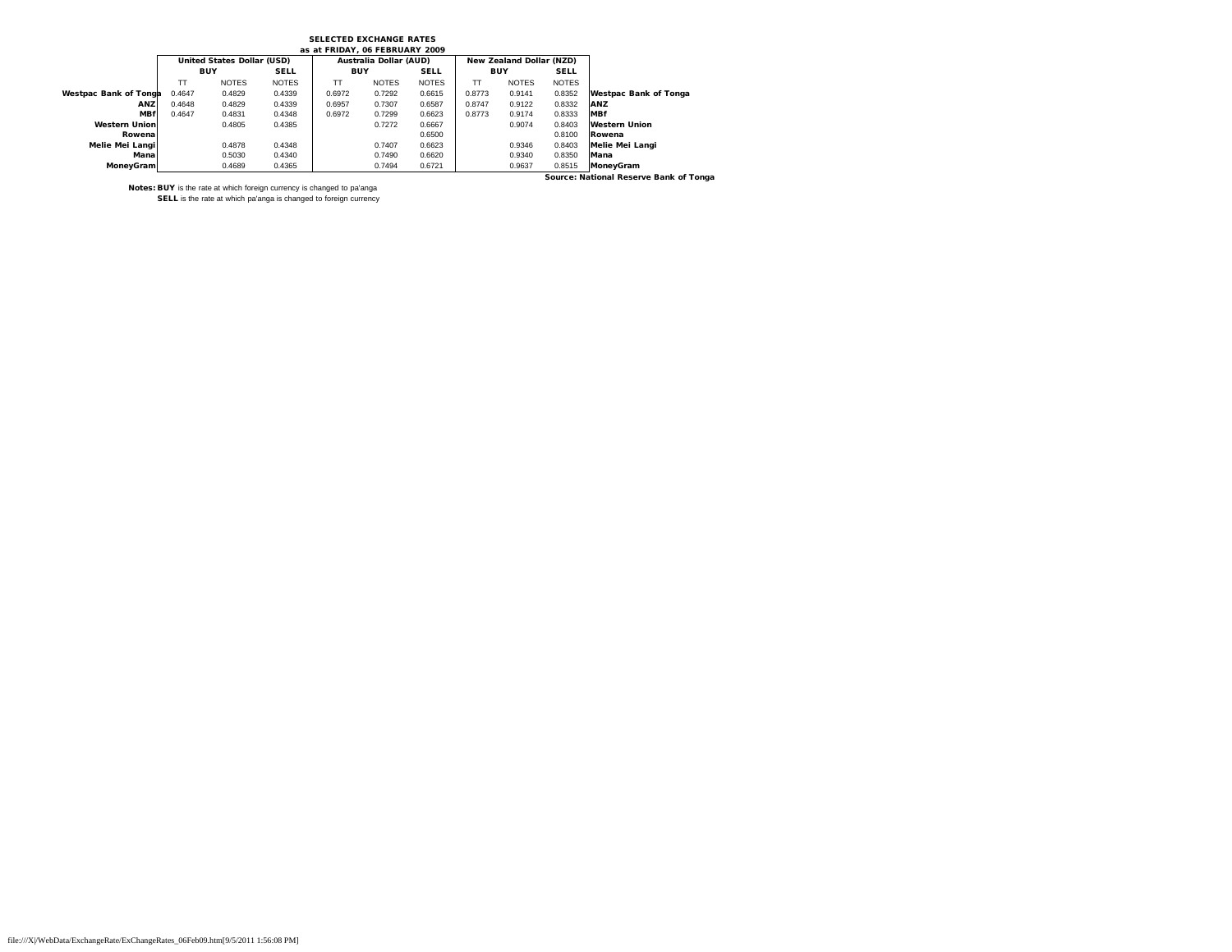## SELECTED EXCHANGE RATES

|                              |            | United States Dollar (USD) |              |            | Australia Dollar (AUD) |              |            | New Zealand Dollar (NZD) |              |                                        |
|------------------------------|------------|----------------------------|--------------|------------|------------------------|--------------|------------|--------------------------|--------------|----------------------------------------|
|                              | <b>BUY</b> |                            | <b>SELL</b>  | <b>BUY</b> |                        | <b>SELL</b>  | <b>BUY</b> |                          | <b>SELL</b>  |                                        |
|                              | TT         | <b>NOTES</b>               | <b>NOTES</b> | тT         | <b>NOTES</b>           | <b>NOTES</b> | TT         | <b>NOTES</b>             | <b>NOTES</b> |                                        |
| <b>Westpac Bank of Tonga</b> | 0.4647     | 0.4829                     | 0.4339       | 0.6972     | 0.7292                 | 0.6615       | 0.8773     | 0.9141                   | 0.8352       | <b>Westpac Bank of Tonga</b>           |
| ANZ                          | 0.4648     | 0.4829                     | 0.4339       | 0.6957     | 0.7307                 | 0.6587       | 0.8747     | 0.9122                   | 0.8332       | ANZ                                    |
| <b>MBf</b>                   | 0.4647     | 0.4831                     | 0.4348       | 0.6972     | 0.7299                 | 0.6623       | 0.8773     | 0.9174                   | 0.8333       | <b>MBf</b>                             |
| <b>Western Union</b>         |            | 0.4805                     | 0.4385       |            | 0.7272                 | 0.6667       |            | 0.9074                   | 0.8403       | <b>Western Union</b>                   |
| Rowena                       |            |                            |              |            |                        | 0.6500       |            |                          | 0.8100       | Rowena                                 |
| Melie Mei Langi              |            | 0.4878                     | 0.4348       |            | 0.7407                 | 0.6623       |            | 0.9346                   | 0.8403       | Melie Mei Langi                        |
| Manal                        |            | 0.5030                     | 0.4340       |            | 0.7490                 | 0.6620       |            | 0.9340                   | 0.8350       | Mana                                   |
| MoneyGram                    |            | 0.4689                     | 0.4365       |            | 0.7494                 | 0.6721       |            | 0.9637                   | 0.8515       | <b>MonevGram</b>                       |
|                              |            |                            |              |            |                        |              |            |                          |              | Source: National Reserve Bank of Tonga |

Notes: BUY is the rate at which foreign currency is changed to pa'anga SELL is the rate at which pa'anga is changed to foreign currency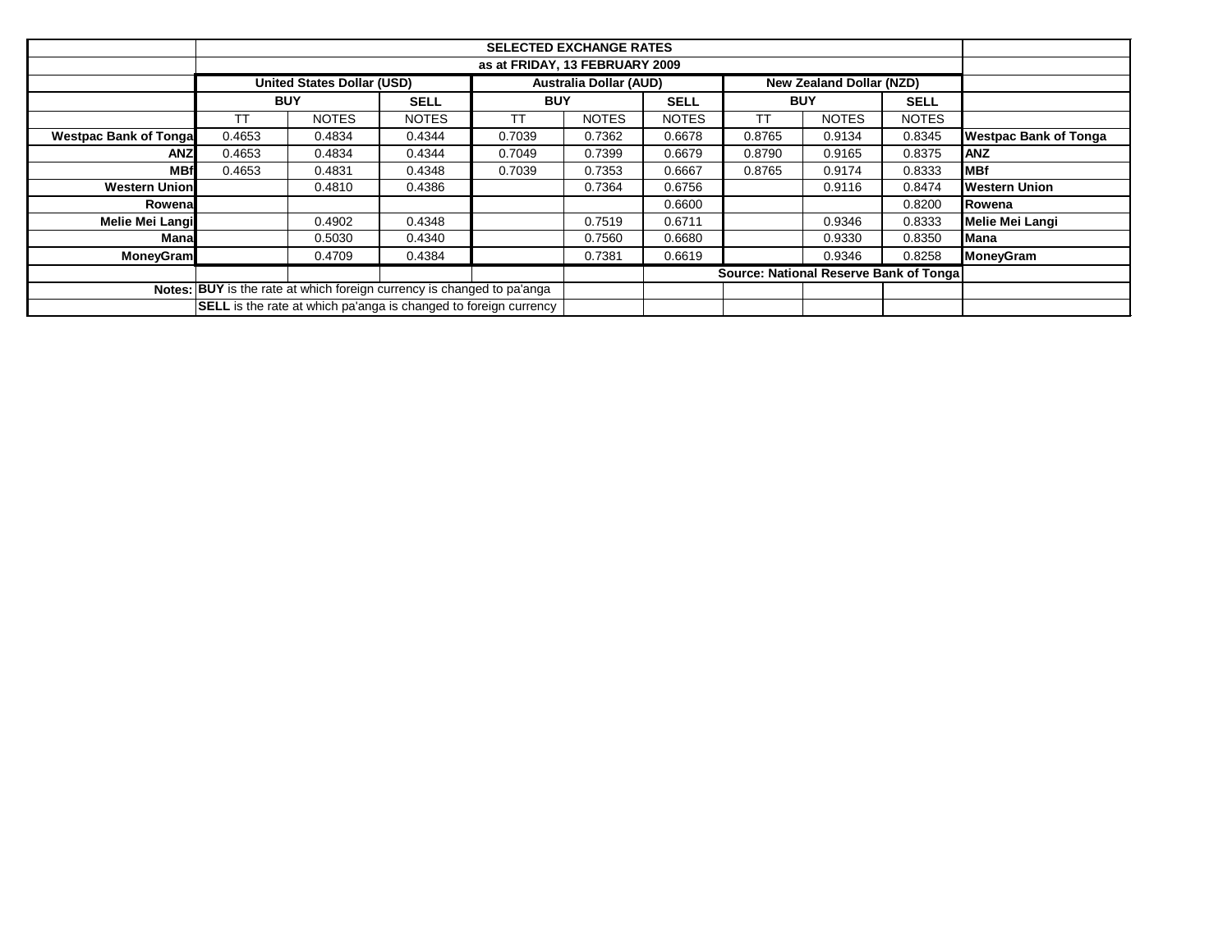|                               |                                                                    | <b>SELECTED EXCHANGE RATES</b> |                                                                         |            |              |                                        |            |                          |              |                              |  |  |
|-------------------------------|--------------------------------------------------------------------|--------------------------------|-------------------------------------------------------------------------|------------|--------------|----------------------------------------|------------|--------------------------|--------------|------------------------------|--|--|
|                               | as at FRIDAY, 13 FEBRUARY 2009                                     |                                |                                                                         |            |              |                                        |            |                          |              |                              |  |  |
|                               | <b>Australia Dollar (AUD)</b><br><b>United States Dollar (USD)</b> |                                |                                                                         |            |              |                                        |            | New Zealand Dollar (NZD) |              |                              |  |  |
|                               | <b>BUY</b>                                                         |                                | <b>SELL</b>                                                             | <b>BUY</b> |              | <b>SELL</b>                            | <b>BUY</b> |                          | <b>SELL</b>  |                              |  |  |
|                               | ТT                                                                 | <b>NOTES</b>                   | <b>NOTES</b>                                                            | ТT         | <b>NOTES</b> | <b>NOTES</b>                           | ТT         | <b>NOTES</b>             | <b>NOTES</b> |                              |  |  |
| <b>Westpac Bank of Tongal</b> | 0.4653                                                             | 0.4834                         | 0.4344                                                                  | 0.7039     | 0.7362       | 0.6678                                 | 0.8765     | 0.9134                   | 0.8345       | <b>Westpac Bank of Tonga</b> |  |  |
| <b>ANZ</b>                    | 0.4653                                                             | 0.4834                         | 0.4344                                                                  | 0.7049     | 0.7399       | 0.6679                                 | 0.8790     | 0.9165                   | 0.8375       | <b>ANZ</b>                   |  |  |
| <b>MBf</b>                    | 0.4653                                                             | 0.4831                         | 0.4348                                                                  | 0.7039     | 0.7353       | 0.6667                                 | 0.8765     | 0.9174                   | 0.8333       | <b>MBf</b>                   |  |  |
| <b>Western Union</b>          |                                                                    | 0.4810                         | 0.4386                                                                  |            | 0.7364       | 0.6756                                 |            | 0.9116                   | 0.8474       | <b>Western Union</b>         |  |  |
| Rowenal                       |                                                                    |                                |                                                                         |            |              | 0.6600                                 |            |                          | 0.8200       | Rowena                       |  |  |
| Melie Mei Langi               |                                                                    | 0.4902                         | 0.4348                                                                  |            | 0.7519       | 0.6711                                 |            | 0.9346                   | 0.8333       | <b>Melie Mei Langi</b>       |  |  |
| Manal                         |                                                                    | 0.5030                         | 0.4340                                                                  |            | 0.7560       | 0.6680                                 |            | 0.9330                   | 0.8350       | <b>Mana</b>                  |  |  |
| <b>MoneyGram</b>              |                                                                    | 0.4709                         | 0.4384                                                                  |            | 0.7381       | 0.6619                                 |            | 0.9346                   | 0.8258       | <b>MoneyGram</b>             |  |  |
|                               |                                                                    |                                |                                                                         |            |              | Source: National Reserve Bank of Tonga |            |                          |              |                              |  |  |
|                               |                                                                    |                                | Notes: BUY is the rate at which foreign currency is changed to pa'anga  |            |              |                                        |            |                          |              |                              |  |  |
|                               |                                                                    |                                | <b>SELL</b> is the rate at which pa'anga is changed to foreign currency |            |              |                                        |            |                          |              |                              |  |  |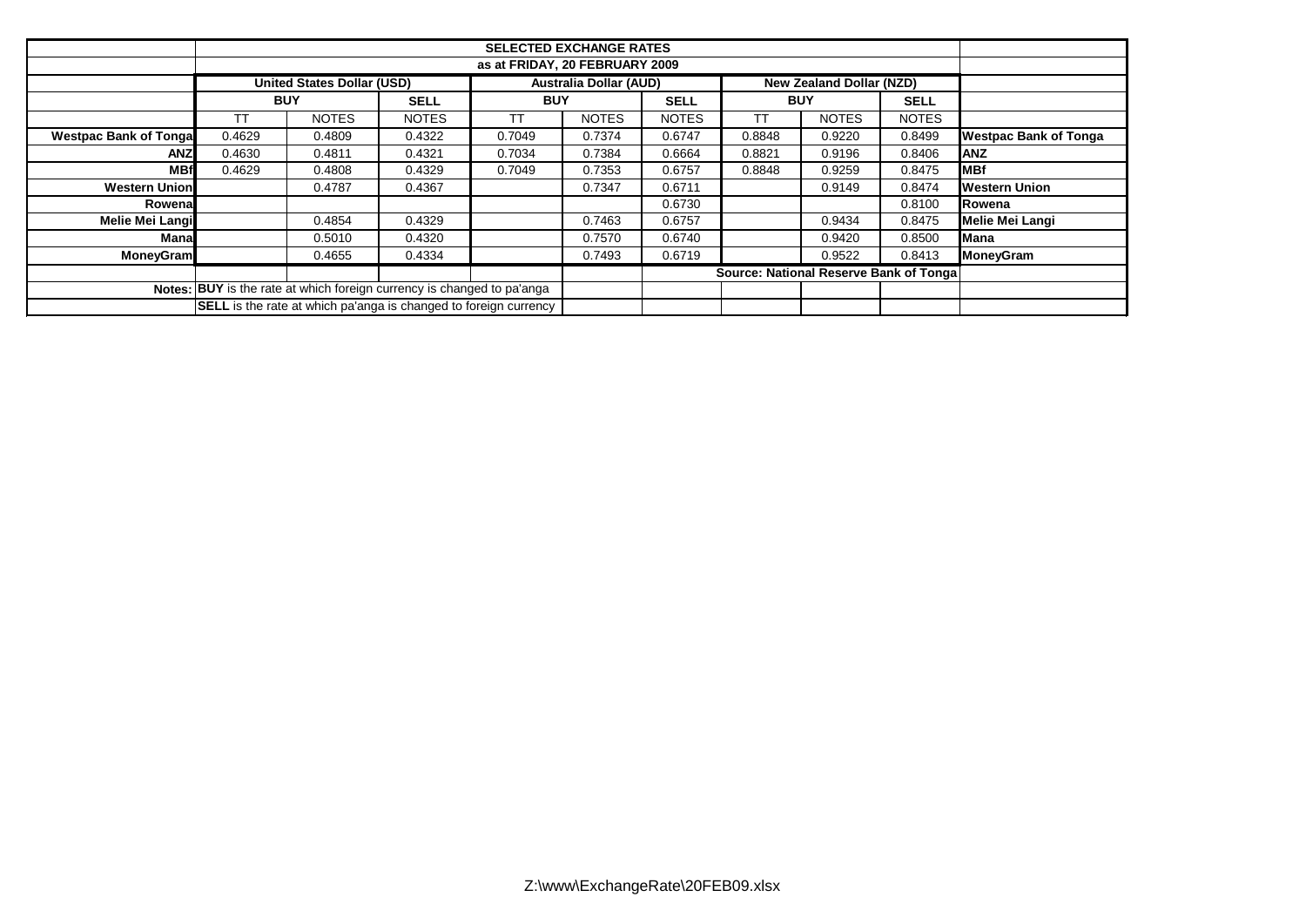|                              | <b>SELECTED EXCHANGE RATES</b><br>as at FRIDAY, 20 FEBRUARY 2009 |                                                                         |              |            |                               |              |                                 |                                         |              |                              |  |
|------------------------------|------------------------------------------------------------------|-------------------------------------------------------------------------|--------------|------------|-------------------------------|--------------|---------------------------------|-----------------------------------------|--------------|------------------------------|--|
|                              |                                                                  | <b>United States Dollar (USD)</b>                                       |              |            | <b>Australia Dollar (AUD)</b> |              | <b>New Zealand Dollar (NZD)</b> |                                         |              |                              |  |
|                              | <b>BUY</b>                                                       |                                                                         | <b>SELL</b>  | <b>BUY</b> |                               | <b>SELL</b>  | <b>BUY</b>                      |                                         | <b>SELL</b>  |                              |  |
|                              | TТ                                                               | <b>NOTES</b>                                                            | <b>NOTES</b> | ТT         | <b>NOTES</b>                  | <b>NOTES</b> | ТT                              | <b>NOTES</b>                            | <b>NOTES</b> |                              |  |
| <b>Westpac Bank of Tonga</b> | 0.4629                                                           | 0.4809                                                                  | 0.4322       | 0.7049     | 0.7374                        | 0.6747       | 0.8848                          | 0.9220                                  | 0.8499       | <b>Westpac Bank of Tonga</b> |  |
| <b>ANZ</b>                   | 0.4630                                                           | 0.4811                                                                  | 0.4321       | 0.7034     | 0.7384                        | 0.6664       | 0.8821                          | 0.9196                                  | 0.8406       | <b>ANZ</b>                   |  |
| <b>MBf</b>                   | 0.4629                                                           | 0.4808                                                                  | 0.4329       | 0.7049     | 0.7353                        | 0.6757       | 0.8848                          | 0.9259                                  | 0.8475       | <b>IMBf</b>                  |  |
| <b>Western Union</b>         |                                                                  | 0.4787                                                                  | 0.4367       |            | 0.7347                        | 0.6711       |                                 | 0.9149                                  | 0.8474       | <b>Western Union</b>         |  |
| Rowenal                      |                                                                  |                                                                         |              |            |                               | 0.6730       |                                 |                                         | 0.8100       | <b>IRowena</b>               |  |
| <b>Melie Mei Langi</b>       |                                                                  | 0.4854                                                                  | 0.4329       |            | 0.7463                        | 0.6757       |                                 | 0.9434                                  | 0.8475       | <b>Melie Mei Langi</b>       |  |
| Mana                         |                                                                  | 0.5010                                                                  | 0.4320       |            | 0.7570                        | 0.6740       |                                 | 0.9420                                  | 0.8500       | Mana                         |  |
| <b>MoneyGram</b>             |                                                                  | 0.4655                                                                  | 0.4334       |            | 0.7493                        | 0.6719       |                                 | 0.9522                                  | 0.8413       | <b>MoneyGram</b>             |  |
|                              |                                                                  |                                                                         |              |            |                               |              |                                 | Source: National Reserve Bank of Tongal |              |                              |  |
|                              |                                                                  | Notes: BUY is the rate at which foreign currency is changed to pa'anga  |              |            |                               |              |                                 |                                         |              |                              |  |
|                              |                                                                  | <b>SELL</b> is the rate at which pa'anga is changed to foreign currency |              |            |                               |              |                                 |                                         |              |                              |  |